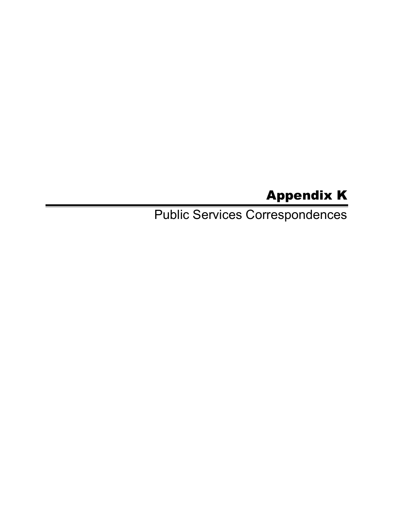## Appendix K

Public Services Correspondences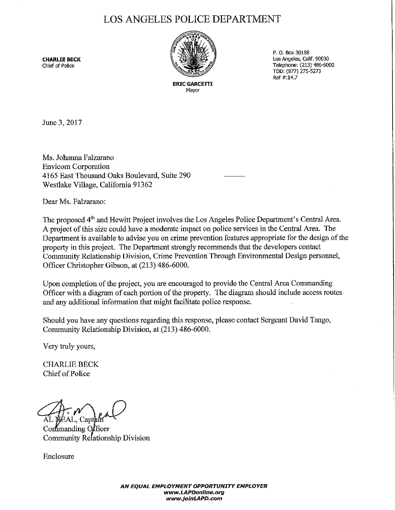## LOS ANGELES POLICE DEPARTMENT



P. 0. Box 30158 **CHARLIE BECK** CONSIDERING CONSIDERING CONSIDERING CONSIDERING CONSIDERING CONSIDERING CONSIDERING CONSIDERING CON<br>
Chief of Police CONSIDERING CONSIDERING CONSIDERING CONSIDERING CONSIDERING CONSIDERING CONSIDERING CONSID Telephone: (213) 486-6000 TDD: (877) 275-5273  $Ref#:14.7$ 

> **ERIC GARCETTI Mayor**

June 3, 2017

Ms. Johanna Falzarano Envicom Corporation 4165 East Thousand Oaks Boulevard, Suite 290 Westlake Village, California 91362

Dear Ms. Falzarano:

The proposed 4<sup>th</sup> and Hewitt Project involves the Los Angeles Police Department's Central Area. A project of this size could have a moderate impact on police services in the Central Area. The Department is available to advise you on crime prevention features appropriate for the design of the property in this project. The Department strongly recommends that the developers contact Community Relationship Division, Crime Prevention Through Environmental Design personnel, Officer Christopher Gibson, at (213) 486-6000.

Upon completion of the project, you are encouraged to provide the Central Area Commanding Officer with a diagram of each portion of the property. The diagram should include access routes and any additional information that might facilitate police response.

Should you have any questions regarding this response, please contact Sergeant David Tango, Community Relationship Division, at (213) 486-6000.

Very truly yours,

CHARLIE BECK Chief of Police

AL NEAL. Capt

Confimanding Officer Community Relationship Division

Enclosure